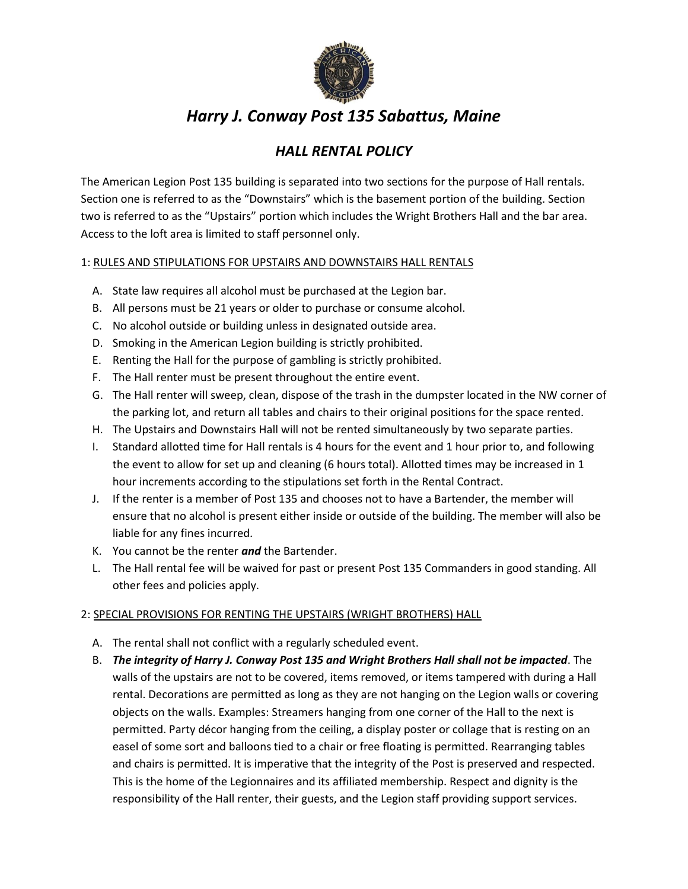

# *Harry J. Conway Post 135 Sabattus, Maine*

## *HALL RENTAL POLICY*

The American Legion Post 135 building is separated into two sections for the purpose of Hall rentals. Section one is referred to as the "Downstairs" which is the basement portion of the building. Section two is referred to as the "Upstairs" portion which includes the Wright Brothers Hall and the bar area. Access to the loft area is limited to staff personnel only.

#### 1: RULES AND STIPULATIONS FOR UPSTAIRS AND DOWNSTAIRS HALL RENTALS

- A. State law requires all alcohol must be purchased at the Legion bar.
- B. All persons must be 21 years or older to purchase or consume alcohol.
- C. No alcohol outside or building unless in designated outside area.
- D. Smoking in the American Legion building is strictly prohibited.
- E. Renting the Hall for the purpose of gambling is strictly prohibited.
- F. The Hall renter must be present throughout the entire event.
- G. The Hall renter will sweep, clean, dispose of the trash in the dumpster located in the NW corner of the parking lot, and return all tables and chairs to their original positions for the space rented.
- H. The Upstairs and Downstairs Hall will not be rented simultaneously by two separate parties.
- I. Standard allotted time for Hall rentals is 4 hours for the event and 1 hour prior to, and following the event to allow for set up and cleaning (6 hours total). Allotted times may be increased in 1 hour increments according to the stipulations set forth in the Rental Contract.
- J. If the renter is a member of Post 135 and chooses not to have a Bartender, the member will ensure that no alcohol is present either inside or outside of the building. The member will also be liable for any fines incurred.
- K. You cannot be the renter *and* the Bartender.
- L. The Hall rental fee will be waived for past or present Post 135 Commanders in good standing. All other fees and policies apply.

### 2: SPECIAL PROVISIONS FOR RENTING THE UPSTAIRS (WRIGHT BROTHERS) HALL

- A. The rental shall not conflict with a regularly scheduled event.
- B. *The integrity of Harry J. Conway Post 135 and Wright Brothers Hall shall not be impacted*. The walls of the upstairs are not to be covered, items removed, or items tampered with during a Hall rental. Decorations are permitted as long as they are not hanging on the Legion walls or covering objects on the walls. Examples: Streamers hanging from one corner of the Hall to the next is permitted. Party décor hanging from the ceiling, a display poster or collage that is resting on an easel of some sort and balloons tied to a chair or free floating is permitted. Rearranging tables and chairs is permitted. It is imperative that the integrity of the Post is preserved and respected. This is the home of the Legionnaires and its affiliated membership. Respect and dignity is the responsibility of the Hall renter, their guests, and the Legion staff providing support services.